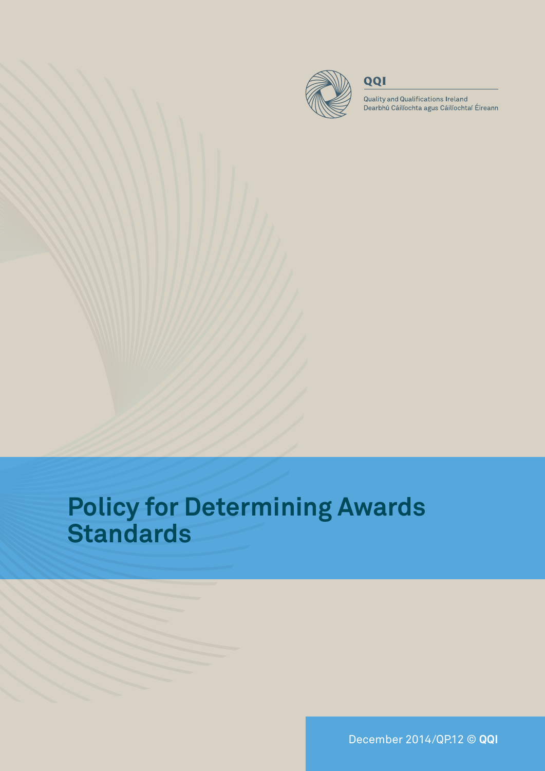

QQI

Quality and Qualifications Ireland Dearbhú Cáilíochta agus Cáilíochtaí Éireann

# **Policy for Determining Awards Standards**

December 2014/QP.12 © **QQI**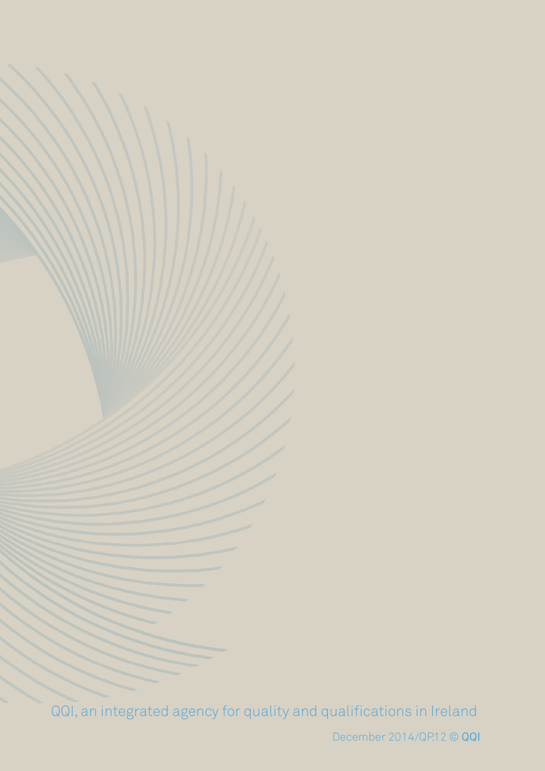QQI, an integrated agency for quality and qualifications in Ireland

December 2014/QP.12 © QQI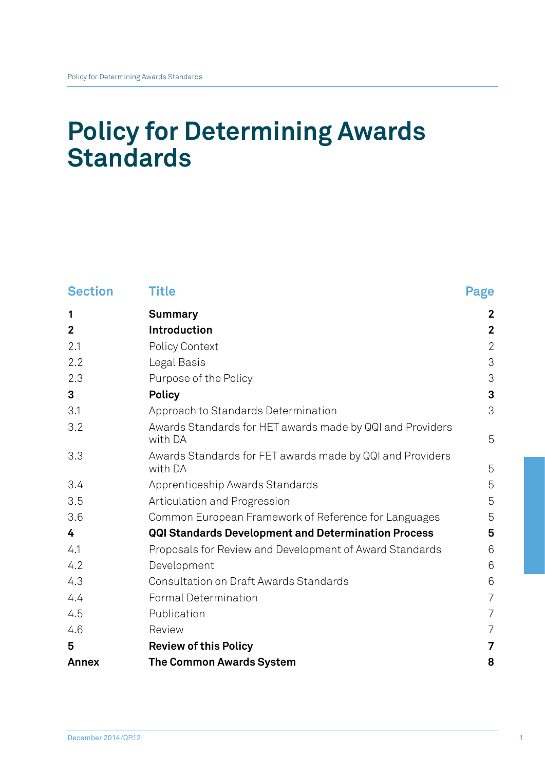# **Policy for Determining Awards Standards**

| <b>Section</b> | Title                                                                | <b>Page</b>             |  |  |
|----------------|----------------------------------------------------------------------|-------------------------|--|--|
| 1              | <b>Summary</b>                                                       | $\overline{\mathbf{c}}$ |  |  |
| $\mathbf{2}$   | Introduction                                                         | $\overline{\mathbf{c}}$ |  |  |
| 2.1            | Policy Context                                                       | $\overline{2}$          |  |  |
| 2.2            | Legal Basis                                                          | 3                       |  |  |
| 2.3            | Purpose of the Policy                                                | 3                       |  |  |
| 3              | <b>Policy</b>                                                        | 3                       |  |  |
| 3.1            | Approach to Standards Determination                                  | 3                       |  |  |
| 3.2            | Awards Standards for HET awards made by QQI and Providers<br>with DA | 5                       |  |  |
| 3.3            | Awards Standards for FET awards made by QQI and Providers<br>with DA | 5                       |  |  |
| 3.4            | Apprenticeship Awards Standards                                      | 5                       |  |  |
| 3.5            | Articulation and Progression                                         | 5                       |  |  |
| 3.6            | Common European Framework of Reference for Languages                 |                         |  |  |
| 4              | <b>QQI Standards Development and Determination Process</b>           | 5                       |  |  |
| 4.1            | Proposals for Review and Development of Award Standards              | 6                       |  |  |
| 4.2            | Development                                                          | 6                       |  |  |
| 4.3            | Consultation on Draft Awards Standards                               | 6                       |  |  |
| 4.4            | Formal Determination                                                 | 7                       |  |  |
| 4.5            | Publication                                                          | $\overline{7}$          |  |  |
| 4.6            | Review                                                               | $\overline{7}$          |  |  |
| 5              | <b>Review of this Policy</b>                                         | 7                       |  |  |
| <b>Annex</b>   | <b>The Common Awards System</b>                                      | 8                       |  |  |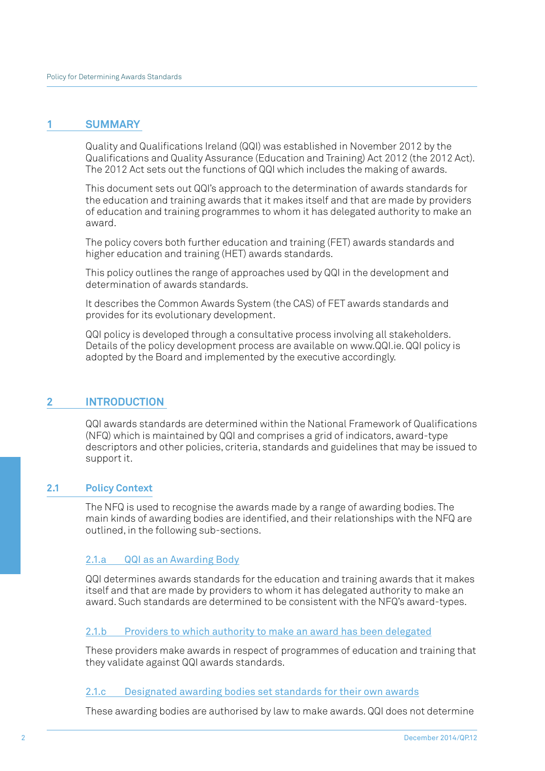## **1 SUMMARY**

Quality and Qualifications Ireland (QQI) was established in November 2012 by the Qualifications and Quality Assurance (Education and Training) Act 2012 (the 2012 Act). The 2012 Act sets out the functions of QQI which includes the making of awards.

This document sets out QQI's approach to the determination of awards standards for the education and training awards that it makes itself and that are made by providers of education and training programmes to whom it has delegated authority to make an award.

The policy covers both further education and training (FET) awards standards and higher education and training (HET) awards standards.

This policy outlines the range of approaches used by QQI in the development and determination of awards standards.

It describes the Common Awards System (the CAS) of FET awards standards and provides for its evolutionary development.

QQI policy is developed through a consultative process involving all stakeholders. Details of the policy development process are available on www.QQI.ie. QQI policy is adopted by the Board and implemented by the executive accordingly.

## **2 INTRODUCTION**

QQI awards standards are determined within the National Framework of Qualifications (NFQ) which is maintained by QQI and comprises a grid of indicators, award-type descriptors and other policies, criteria, standards and guidelines that may be issued to support it.

## **2.1 Policy Context**

The NFQ is used to recognise the awards made by a range of awarding bodies. The main kinds of awarding bodies are identified, and their relationships with the NFQ are outlined, in the following sub-sections.

## 2.1.a QQI as an Awarding Body

QQI determines awards standards for the education and training awards that it makes itself and that are made by providers to whom it has delegated authority to make an award. Such standards are determined to be consistent with the NFQ's award-types.

## 2.1.b Providers to which authority to make an award has been delegated

These providers make awards in respect of programmes of education and training that they validate against QQI awards standards.

## 2.1.c Designated awarding bodies set standards for their own awards

These awarding bodies are authorised by law to make awards. QQI does not determine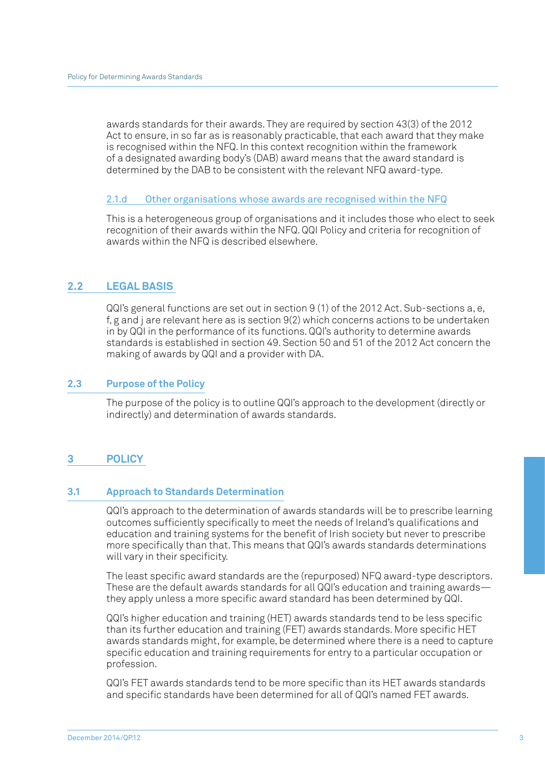awards standards for their awards. They are required by section 43(3) of the 2012 Act to ensure, in so far as is reasonably practicable, that each award that they make is recognised within the NFQ. In this context recognition within the framework of a designated awarding body's (DAB) award means that the award standard is determined by the DAB to be consistent with the relevant NFQ award-type.

## 2.1.d Other organisations whose awards are recognised within the NFQ

This is a heterogeneous group of organisations and it includes those who elect to seek recognition of their awards within the NFQ. QQI Policy and criteria for recognition of awards within the NFQ is described elsewhere.

## **2.2 Legal Basis**

QQI's general functions are set out in section 9 (1) of the 2012 Act. Sub-sections a, e, f, g and j are relevant here as is section 9(2) which concerns actions to be undertaken in by QQI in the performance of its functions. QQI's authority to determine awards standards is established in section 49. Section 50 and 51 of the 2012 Act concern the making of awards by QQI and a provider with DA.

## **2.3 Purpose of the Policy**

The purpose of the policy is to outline QQI's approach to the development (directly or indirectly) and determination of awards standards.

## **3 POLICY**

## **3.1 Approach to Standards Determination**

QQI's approach to the determination of awards standards will be to prescribe learning outcomes sufficiently specifically to meet the needs of Ireland's qualifications and education and training systems for the benefit of Irish society but never to prescribe more specifically than that. This means that QQI's awards standards determinations will vary in their specificity.

The least specific award standards are the (repurposed) NFQ award-type descriptors. These are the default awards standards for all QQI's education and training awards they apply unless a more specific award standard has been determined by QQI.

QQI's higher education and training (HET) awards standards tend to be less specific than its further education and training (FET) awards standards. More specific HET awards standards might, for example, be determined where there is a need to capture specific education and training requirements for entry to a particular occupation or profession.

QQI's FET awards standards tend to be more specific than its HET awards standards and specific standards have been determined for all of QQI's named FET awards.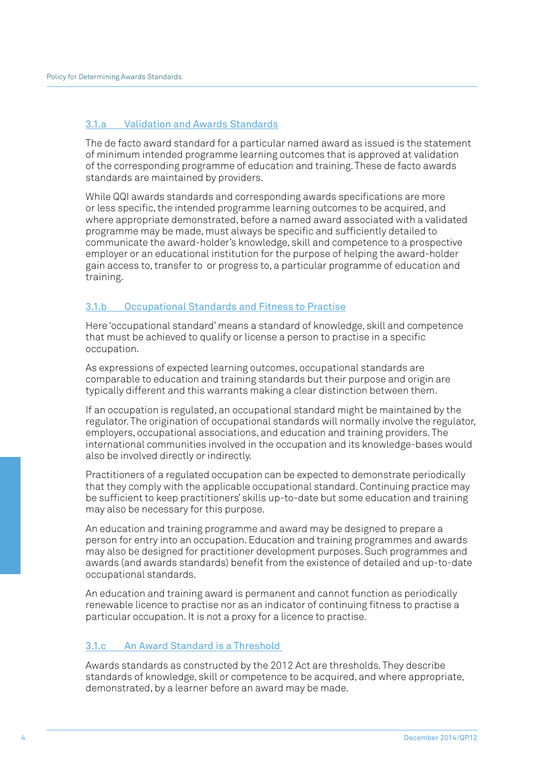## 3.1.a Validation and Awards Standards

The de facto award standard for a particular named award as issued is the statement of minimum intended programme learning outcomes that is approved at validation of the corresponding programme of education and training. These de facto awards standards are maintained by providers.

While QQI awards standards and corresponding awards specifications are more or less specific, the intended programme learning outcomes to be acquired, and where appropriate demonstrated, before a named award associated with a validated programme may be made, must always be specific and sufficiently detailed to communicate the award-holder's knowledge, skill and competence to a prospective employer or an educational institution for the purpose of helping the award-holder gain access to, transfer to or progress to, a particular programme of education and training.

## 3.1.b Occupational Standards and Fitness to Practise

Here 'occupational standard' means a standard of knowledge, skill and competence that must be achieved to qualify or license a person to practise in a specific occupation.

As expressions of expected learning outcomes, occupational standards are comparable to education and training standards but their purpose and origin are typically different and this warrants making a clear distinction between them.

If an occupation is regulated, an occupational standard might be maintained by the regulator. The origination of occupational standards will normally involve the regulator, employers, occupational associations, and education and training providers. The international communities involved in the occupation and its knowledge-bases would also be involved directly or indirectly.

Practitioners of a regulated occupation can be expected to demonstrate periodically that they comply with the applicable occupational standard. Continuing practice may be sufficient to keep practitioners' skills up-to-date but some education and training may also be necessary for this purpose.

An education and training programme and award may be designed to prepare a person for entry into an occupation. Education and training programmes and awards may also be designed for practitioner development purposes. Such programmes and awards (and awards standards) benefit from the existence of detailed and up-to-date occupational standards.

An education and training award is permanent and cannot function as periodically renewable licence to practise nor as an indicator of continuing fitness to practise a particular occupation. It is not a proxy for a licence to practise.

## 3.1.c An Award Standard is a Threshold

Awards standards as constructed by the 2012 Act are thresholds. They describe standards of knowledge, skill or competence to be acquired, and where appropriate, demonstrated, by a learner before an award may be made.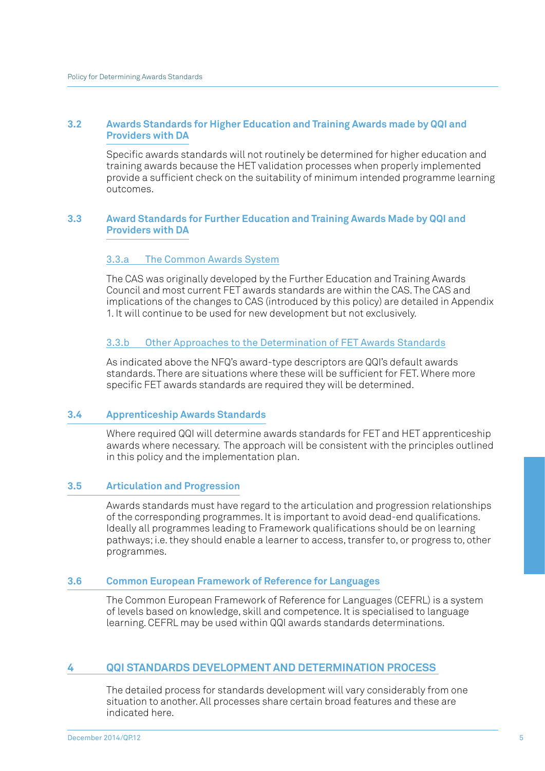## **3.2 Awards Standards for Higher Education and Training Awards made by QQI and Providers with DA**

Specific awards standards will not routinely be determined for higher education and training awards because the HET validation processes when properly implemented provide a sufficient check on the suitability of minimum intended programme learning outcomes.

## **3.3 Award Standards for Further Education and Training Awards Made by QQI and Providers with DA**

## 3.3.a The Common Awards System

The CAS was originally developed by the Further Education and Training Awards Council and most current FET awards standards are within the CAS. The CAS and implications of the changes to CAS (introduced by this policy) are detailed in Appendix 1. It will continue to be used for new development but not exclusively.

## 3.3.b Other Approaches to the Determination of FET Awards Standards

As indicated above the NFQ's award-type descriptors are QQI's default awards standards. There are situations where these will be sufficient for FET. Where more specific FET awards standards are required they will be determined.

## **3.4 Apprenticeship Awards Standards**

Where required QQI will determine awards standards for FET and HET apprenticeship awards where necessary. The approach will be consistent with the principles outlined in this policy and the implementation plan.

## **3.5 Articulation and Progression**

Awards standards must have regard to the articulation and progression relationships of the corresponding programmes. It is important to avoid dead-end qualifications. Ideally all programmes leading to Framework qualifications should be on learning pathways; i.e. they should enable a learner to access, transfer to, or progress to, other programmes.

## **3.6 Common European Framework of Reference for Languages**

The Common European Framework of Reference for Languages (CEFRL) is a system of levels based on knowledge, skill and competence. It is specialised to language learning. CEFRL may be used within QQI awards standards determinations.

## **4 QQI STANDARDS DEVELOPMENT AND DETERMINATION PROCESS**

The detailed process for standards development will vary considerably from one situation to another. All processes share certain broad features and these are indicated here.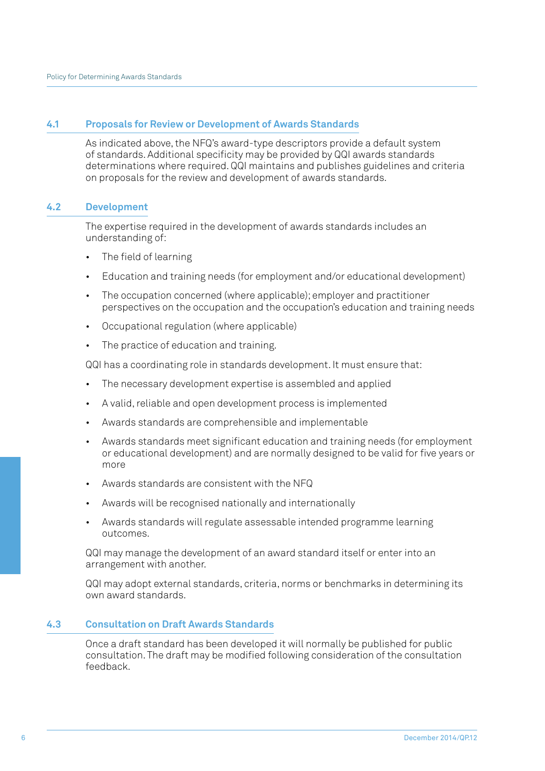## **4.1 Proposals for Review or Development of Awards Standards**

As indicated above, the NFQ's award-type descriptors provide a default system of standards. Additional specificity may be provided by QQI awards standards determinations where required. QQI maintains and publishes guidelines and criteria on proposals for the review and development of awards standards.

## **4.2 Development**

The expertise required in the development of awards standards includes an understanding of:

- The field of learning
- Education and training needs (for employment and/or educational development)
- The occupation concerned (where applicable); employer and practitioner perspectives on the occupation and the occupation's education and training needs
- Occupational regulation (where applicable)
- The practice of education and training.

QQI has a coordinating role in standards development. It must ensure that:

- The necessary development expertise is assembled and applied
- A valid, reliable and open development process is implemented
- Awards standards are comprehensible and implementable
- Awards standards meet significant education and training needs (for employment or educational development) and are normally designed to be valid for five years or more
- Awards standards are consistent with the NFQ
- Awards will be recognised nationally and internationally
- Awards standards will regulate assessable intended programme learning outcomes.

QQI may manage the development of an award standard itself or enter into an arrangement with another.

QQI may adopt external standards, criteria, norms or benchmarks in determining its own award standards.

## **4.3 Consultation on Draft Awards Standards**

Once a draft standard has been developed it will normally be published for public consultation. The draft may be modified following consideration of the consultation feedback.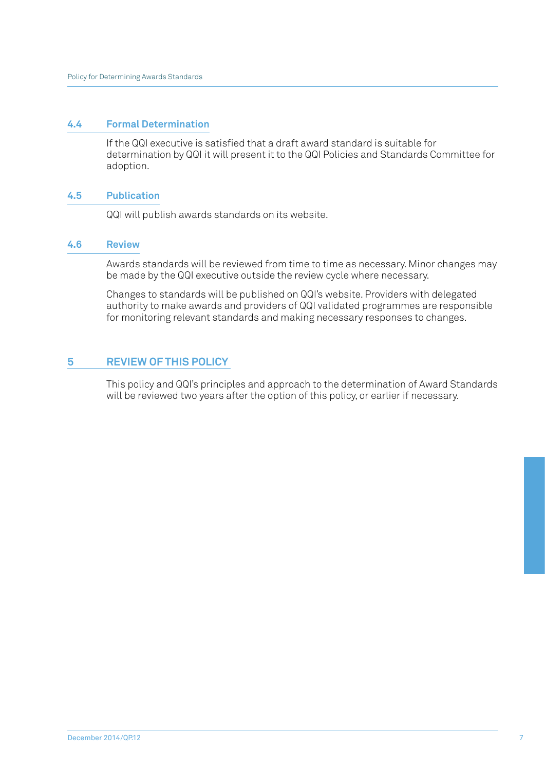## **4.4 Formal Determination**

If the QQI executive is satisfied that a draft award standard is suitable for determination by QQI it will present it to the QQI Policies and Standards Committee for adoption.

## **4.5 Publication**

QQI will publish awards standards on its website.

#### **4.6 Review**

Awards standards will be reviewed from time to time as necessary. Minor changes may be made by the QQI executive outside the review cycle where necessary.

Changes to standards will be published on QQI's website. Providers with delegated authority to make awards and providers of QQI validated programmes are responsible for monitoring relevant standards and making necessary responses to changes.

## **5 REVIEW OF THIS POLICY**

This policy and QQI's principles and approach to the determination of Award Standards will be reviewed two years after the option of this policy, or earlier if necessary.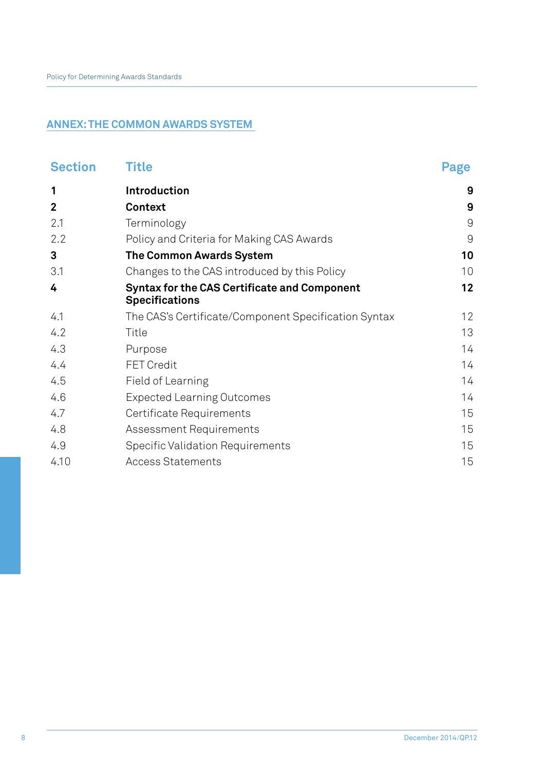## **Annex: The Common Awards System**

| <b>Section</b> | Title                                                                        | <b>Page</b>    |
|----------------|------------------------------------------------------------------------------|----------------|
| 1              | Introduction                                                                 | 9              |
| $\mathbf{2}$   | <b>Context</b>                                                               | 9              |
| 2.1            | Terminology                                                                  | $\overline{9}$ |
| 2.2            | Policy and Criteria for Making CAS Awards                                    | $\overline{9}$ |
| 3              | <b>The Common Awards System</b>                                              | 10             |
| 3.1            | Changes to the CAS introduced by this Policy                                 | 10             |
| 4              | <b>Syntax for the CAS Certificate and Component</b><br><b>Specifications</b> | 12             |
| 4.1            | The CAS's Certificate/Component Specification Syntax                         | 12             |
| 4.2            | Title                                                                        | 13             |
| 4.3            | Purpose                                                                      | 14             |
| 4.4            | <b>FET Credit</b>                                                            | 14             |
| 4.5            | Field of Learning                                                            | 14             |
| 4.6            | <b>Expected Learning Outcomes</b>                                            | 14             |
| 4.7            | Certificate Requirements                                                     | 15             |
| 4.8            | Assessment Requirements                                                      | 15             |
| 4.9            | Specific Validation Requirements                                             | 15             |
| 4.10           | <b>Access Statements</b>                                                     | 15             |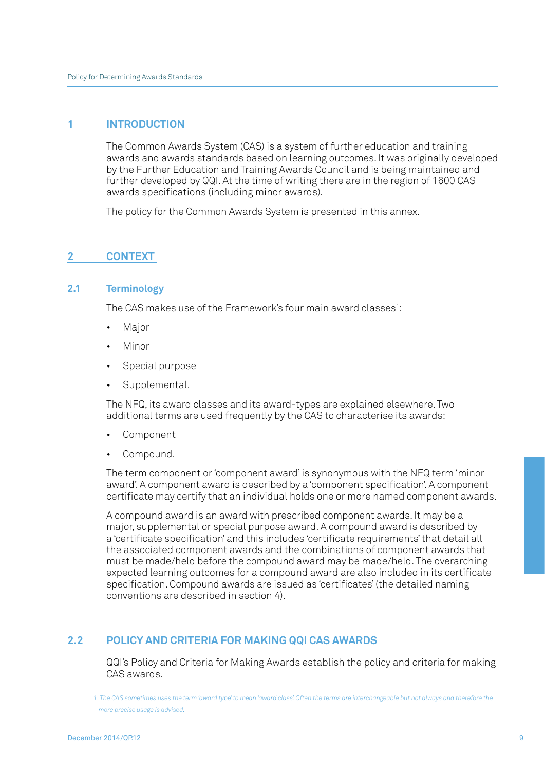## **1 INTRODUCTION**

The Common Awards System (CAS) is a system of further education and training awards and awards standards based on learning outcomes. It was originally developed by the Further Education and Training Awards Council and is being maintained and further developed by QQI. At the time of writing there are in the region of 1600 CAS awards specifications (including minor awards).

The policy for the Common Awards System is presented in this annex.

## **2 CONTEXT**

## **2.1 Terminology**

The CAS makes use of the Framework's four main award classes<sup>1</sup>:

- Major
- Minor
- Special purpose
- Supplemental.

The NFQ, its award classes and its award-types are explained elsewhere. Two additional terms are used frequently by the CAS to characterise its awards:

- **Component**
- Compound.

The term component or 'component award' is synonymous with the NFQ term 'minor award'. A component award is described by a 'component specification'. A component certificate may certify that an individual holds one or more named component awards.

A compound award is an award with prescribed component awards. It may be a major, supplemental or special purpose award. A compound award is described by a 'certificate specification' and this includes 'certificate requirements' that detail all the associated component awards and the combinations of component awards that must be made/held before the compound award may be made/held. The overarching expected learning outcomes for a compound award are also included in its certificate specification. Compound awards are issued as 'certificates' (the detailed naming conventions are described in section 4).

## **2.2 Policy and Criteria for Making QQI CAS Awards**

QQI's Policy and Criteria for Making Awards establish the policy and criteria for making CAS awards.

*1 The CAS sometimes uses the term 'award type' to mean 'award class'. Often the terms are interchangeable but not always and therefore the more precise usage is advised.*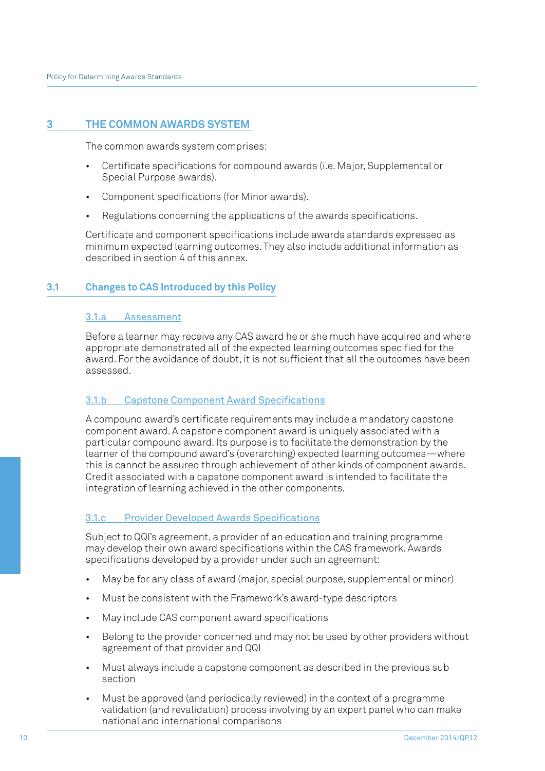## **3 The Common Awards System**

The common awards system comprises:

- Certificate specifications for compound awards (i.e. Major, Supplemental or Special Purpose awards).
- Component specifications (for Minor awards).
- Regulations concerning the applications of the awards specifications.

Certificate and component specifications include awards standards expressed as minimum expected learning outcomes. They also include additional information as described in section 4 of this annex.

## **3.1 Changes to CAS Introduced by this Policy**

## 3.1.a Assessment

Before a learner may receive any CAS award he or she much have acquired and where appropriate demonstrated all of the expected learning outcomes specified for the award. For the avoidance of doubt, it is not sufficient that all the outcomes have been assessed.

## 3.1.b Capstone Component Award Specifications

A compound award's certificate requirements may include a mandatory capstone component award. A capstone component award is uniquely associated with a particular compound award. Its purpose is to facilitate the demonstration by the learner of the compound award's (overarching) expected learning outcomes—where this is cannot be assured through achievement of other kinds of component awards. Credit associated with a capstone component award is intended to facilitate the integration of learning achieved in the other components.

## 3.1.c Provider Developed Awards Specifications

Subject to QQI's agreement, a provider of an education and training programme may develop their own award specifications within the CAS framework. Awards specifications developed by a provider under such an agreement:

- May be for any class of award (major, special purpose, supplemental or minor)
- Must be consistent with the Framework's award-type descriptors
- May include CAS component award specifications
- Belong to the provider concerned and may not be used by other providers without agreement of that provider and QQI
- Must always include a capstone component as described in the previous sub section
- Must be approved (and periodically reviewed) in the context of a programme validation (and revalidation) process involving by an expert panel who can make national and international comparisons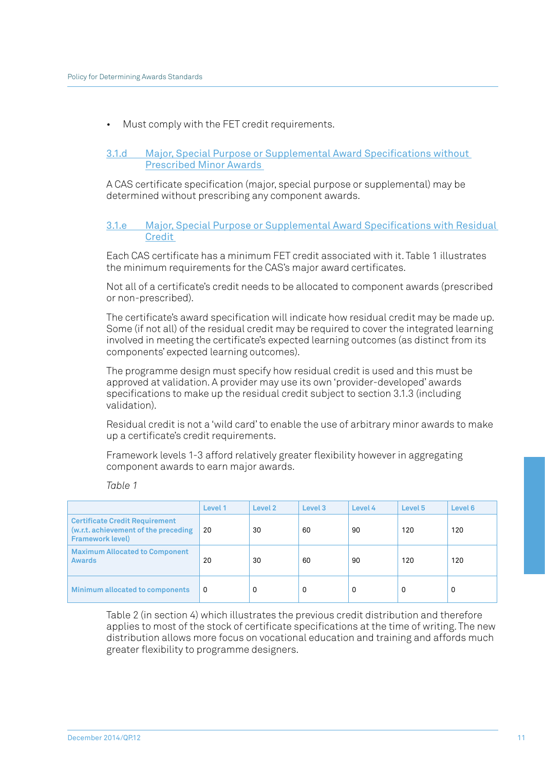Must comply with the FET credit requirements.

## 3.1.d Major, Special Purpose or Supplemental Award Specifications without Prescribed Minor Awards

A CAS certificate specification (major, special purpose or supplemental) may be determined without prescribing any component awards.

## 3.1.e Major, Special Purpose or Supplemental Award Specifications with Residual **Credit**

Each CAS certificate has a minimum FET credit associated with it. Table 1 illustrates the minimum requirements for the CAS's major award certificates.

Not all of a certificate's credit needs to be allocated to component awards (prescribed or non-prescribed).

The certificate's award specification will indicate how residual credit may be made up. Some (if not all) of the residual credit may be required to cover the integrated learning involved in meeting the certificate's expected learning outcomes (as distinct from its components' expected learning outcomes).

The programme design must specify how residual credit is used and this must be approved at validation. A provider may use its own 'provider-developed' awards specifications to make up the residual credit subject to section 3.1.3 (including validation).

Residual credit is not a 'wild card' to enable the use of arbitrary minor awards to make up a certificate's credit requirements.

Framework levels 1-3 afford relatively greater flexibility however in aggregating component awards to earn major awards.

|                                                                                                          | Level 1 | Level 2 | Level 3 | Level 4 | Level 5 | Level 6 |
|----------------------------------------------------------------------------------------------------------|---------|---------|---------|---------|---------|---------|
| <b>Certificate Credit Requirement</b><br>(w.r.t. achievement of the preceding<br><b>Framework level)</b> | 20      | 30      | 60      | 90      | 120     | 120     |
| <b>Maximum Allocated to Component</b><br><b>Awards</b>                                                   | 20      | 30      | 60      | 90      | 120     | 120     |
| Minimum allocated to components                                                                          | 0       | 0       | 0       | 0       | 0       | 0       |

*Table 1* 

Table 2 (in section 4) which illustrates the previous credit distribution and therefore applies to most of the stock of certificate specifications at the time of writing. The new distribution allows more focus on vocational education and training and affords much greater flexibility to programme designers.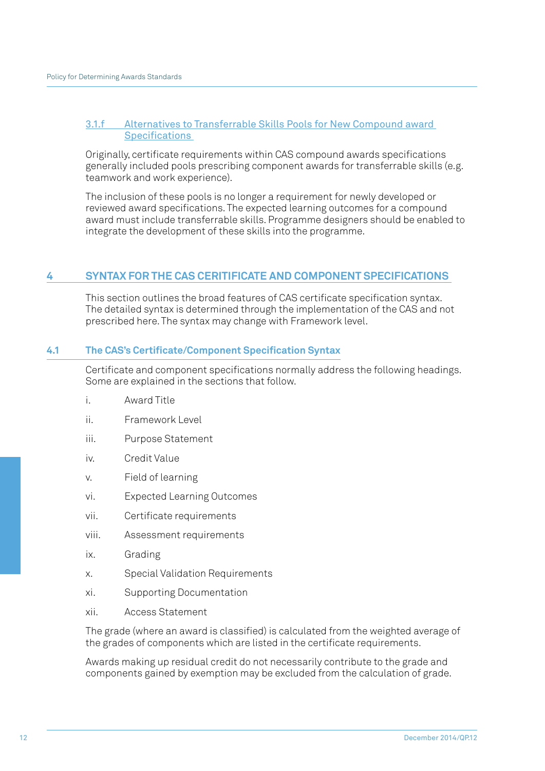## 3.1.f Alternatives to Transferrable Skills Pools for New Compound award **Specifications**

Originally, certificate requirements within CAS compound awards specifications generally included pools prescribing component awards for transferrable skills (e.g. teamwork and work experience).

The inclusion of these pools is no longer a requirement for newly developed or reviewed award specifications. The expected learning outcomes for a compound award must include transferrable skills. Programme designers should be enabled to integrate the development of these skills into the programme.

## **4 SYNTAX FOR THE CAS CERITIFICATE AND COMPONENT SPECIFICATIONS**

This section outlines the broad features of CAS certificate specification syntax. The detailed syntax is determined through the implementation of the CAS and not prescribed here. The syntax may change with Framework level.

## **4.1 The CAS's Certificate/Component Specification Syntax**

Certificate and component specifications normally address the following headings. Some are explained in the sections that follow.

- i. Award Title
- ii. Framework Level
- iii. Purpose Statement
- iv. Credit Value
- v. Field of learning
- vi. Expected Learning Outcomes
- vii. Certificate requirements
- viii. Assessment requirements
- ix. Grading
- x. Special Validation Requirements
- xi. Supporting Documentation
- xii. Access Statement

The grade (where an award is classified) is calculated from the weighted average of the grades of components which are listed in the certificate requirements.

Awards making up residual credit do not necessarily contribute to the grade and components gained by exemption may be excluded from the calculation of grade.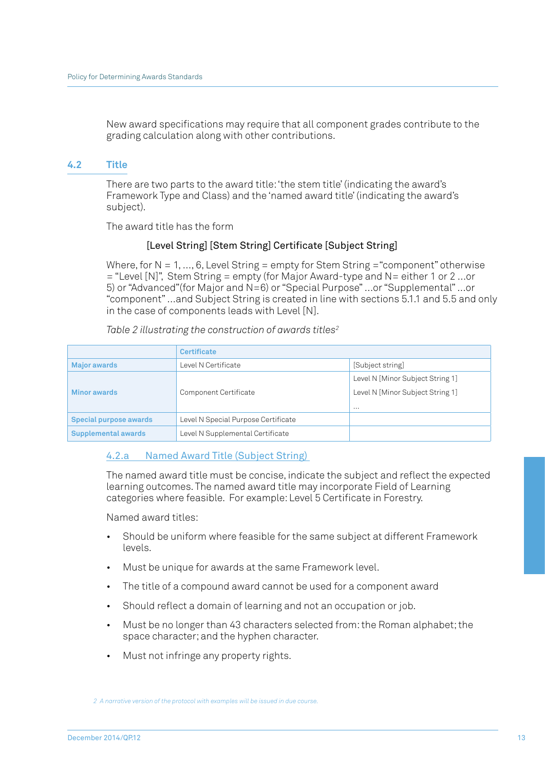New award specifications may require that all component grades contribute to the grading calculation along with other contributions.

## **4.2 Title**

There are two parts to the award title: 'the stem title' (indicating the award's Framework Type and Class) and the 'named award title' (indicating the award's subject).

The award title has the form

## [Level String] [Stem String] Certificate [Subject String]

Where, for  $N = 1, ..., 6$ , Level String = empty for Stem String = "component" otherwise = "Level [N]", Stem String = empty (for Major Award-type and N= either 1 or 2 …or 5) or "Advanced"(for Major and N=6) or "Special Purpose" …or "Supplemental" …or "component" …and Subject String is created in line with sections 5.1.1 and 5.5 and only in the case of components leads with Level [N].

|                               | <b>Certificate</b>                  |                                  |  |  |
|-------------------------------|-------------------------------------|----------------------------------|--|--|
| <b>Major awards</b>           | Level N Certificate                 | [Subject string]                 |  |  |
|                               |                                     | Level N [Minor Subject String 1] |  |  |
| <b>Minor awards</b>           | Component Certificate               | Level N [Minor Subject String 1] |  |  |
|                               |                                     | $\cdots$                         |  |  |
| <b>Special purpose awards</b> | Level N Special Purpose Certificate |                                  |  |  |
| <b>Supplemental awards</b>    | Level N Supplemental Certificate    |                                  |  |  |

*Table 2 illustrating the construction of awards titles2*

## 4.2.a Named Award Title (Subject String)

The named award title must be concise, indicate the subject and reflect the expected learning outcomes. The named award title may incorporate Field of Learning categories where feasible. For example: Level 5 Certificate in Forestry.

Named award titles:

- Should be uniform where feasible for the same subject at different Framework levels.
- Must be unique for awards at the same Framework level.
- The title of a compound award cannot be used for a component award
- Should reflect a domain of learning and not an occupation or job.
- Must be no longer than 43 characters selected from: the Roman alphabet; the space character; and the hyphen character.
- Must not infringe any property rights.

*2 A narrative version of the protocol with examples will be issued in due course.*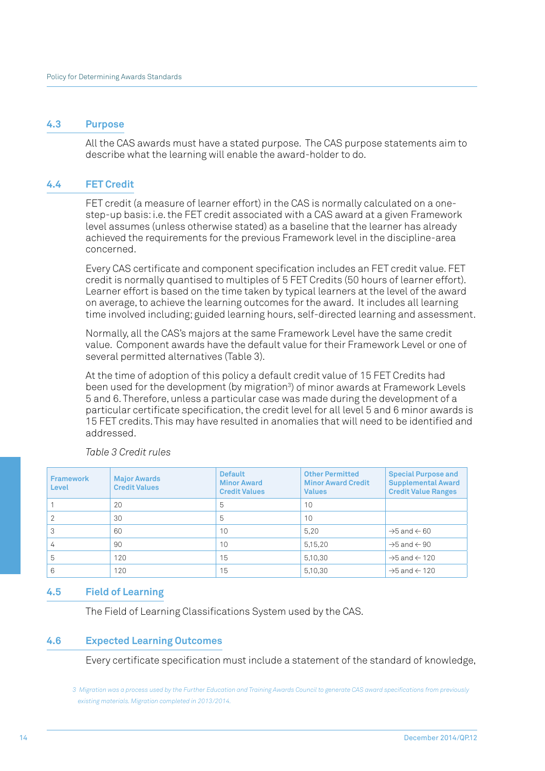#### **4.3 Purpose**

All the CAS awards must have a stated purpose. The CAS purpose statements aim to describe what the learning will enable the award-holder to do.

## **4.4 FET Credit**

FET credit (a measure of learner effort) in the CAS is normally calculated on a onestep-up basis: i.e. the FET credit associated with a CAS award at a given Framework level assumes (unless otherwise stated) as a baseline that the learner has already achieved the requirements for the previous Framework level in the discipline-area concerned.

Every CAS certificate and component specification includes an FET credit value. FET credit is normally quantised to multiples of 5 FET Credits (50 hours of learner effort). Learner effort is based on the time taken by typical learners at the level of the award on average, to achieve the learning outcomes for the award. It includes all learning time involved including; guided learning hours, self-directed learning and assessment.

Normally, all the CAS's majors at the same Framework Level have the same credit value. Component awards have the default value for their Framework Level or one of several permitted alternatives (Table 3).

At the time of adoption of this policy a default credit value of 15 FET Credits had been used for the development (by migration<sup>3</sup>) of minor awards at Framework Levels 5 and 6. Therefore, unless a particular case was made during the development of a particular certificate specification, the credit level for all level 5 and 6 minor awards is 15 FET credits. This may have resulted in anomalies that will need to be identified and addressed.

| <b>Framework</b><br>Level | <b>Major Awards</b><br><b>Credit Values</b> | <b>Default</b><br><b>Minor Award</b><br><b>Credit Values</b> | <b>Other Permitted</b><br><b>Minor Award Credit</b><br><b>Values</b> | <b>Special Purpose and</b><br><b>Supplemental Award</b><br><b>Credit Value Ranges</b> |
|---------------------------|---------------------------------------------|--------------------------------------------------------------|----------------------------------------------------------------------|---------------------------------------------------------------------------------------|
|                           | 20                                          | 5                                                            | 10                                                                   |                                                                                       |
|                           | 30                                          | 5                                                            | 10                                                                   |                                                                                       |
| 3                         | 60                                          | 10                                                           | 5.20                                                                 | $\rightarrow$ 5 and $\leftarrow$ 60                                                   |
| 4                         | 90                                          | 10                                                           | 5,15,20                                                              | $\rightarrow$ 5 and $\leftarrow$ 90                                                   |
| 5                         | 120                                         | 15                                                           | 5,10,30                                                              | $\rightarrow$ 5 and $\leftarrow$ 120                                                  |
| 6                         | 120                                         | 15                                                           | 5,10,30                                                              | $\rightarrow$ 5 and $\leftarrow$ 120                                                  |

#### *Table 3 Credit rules*

## **4.5 Field of Learning**

The Field of Learning Classifications System used by the CAS.

## **4.6 Expected Learning Outcomes**

Every certificate specification must include a statement of the standard of knowledge,

*<sup>3</sup> Migration was a process used by the Further Education and Training Awards Council to generate CAS award specifications from previously existing materials. Migration completed in 2013/2014.*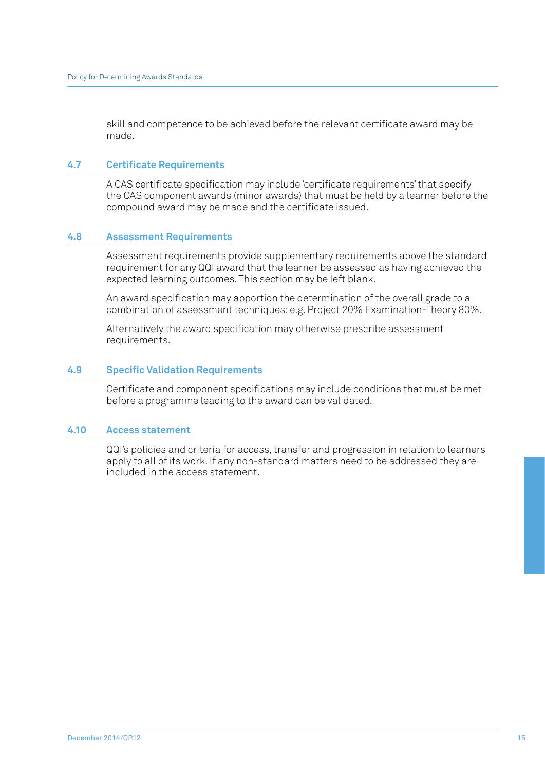skill and competence to be achieved before the relevant certificate award may be made.

## **4.7 Certificate Requirements**

A CAS certificate specification may include 'certificate requirements' that specify the CAS component awards (minor awards) that must be held by a learner before the compound award may be made and the certificate issued.

## **4.8 Assessment Requirements**

Assessment requirements provide supplementary requirements above the standard requirement for any QQI award that the learner be assessed as having achieved the expected learning outcomes. This section may be left blank.

An award specification may apportion the determination of the overall grade to a combination of assessment techniques: e.g. Project 20% Examination-Theory 80%.

Alternatively the award specification may otherwise prescribe assessment requirements.

## **4.9 Specific Validation Requirements**

Certificate and component specifications may include conditions that must be met before a programme leading to the award can be validated.

## **4.10 Access statement**

QQI's policies and criteria for access, transfer and progression in relation to learners apply to all of its work. If any non-standard matters need to be addressed they are included in the access statement.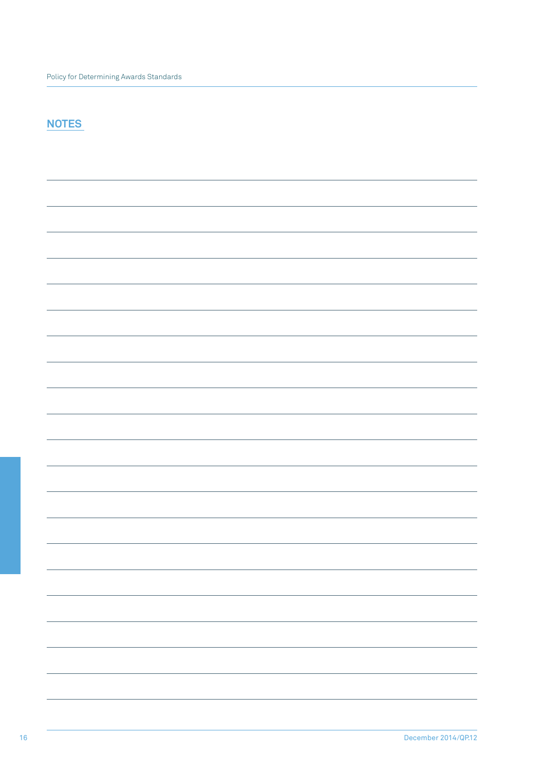## **NOTES**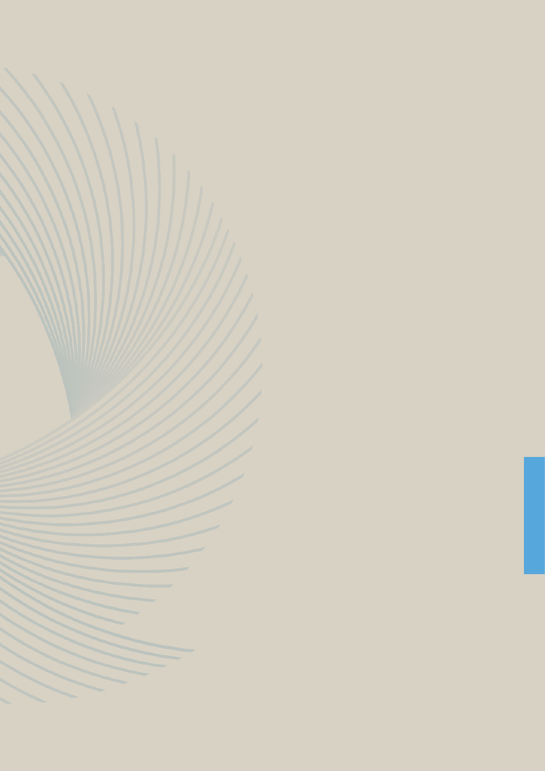